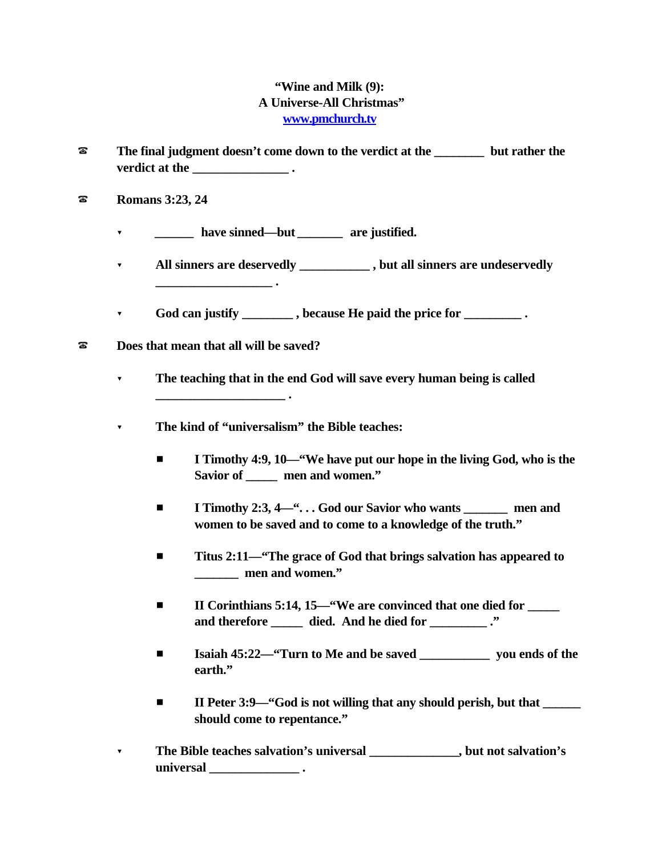## **"Wine and Milk (9): A Universe-All Christmas" www.pmchurch.tv**

- ? **The final judgment doesn't come down to the verdict at the \_\_\_\_\_\_\_\_ but rather the verdict at the**   $\cdot$  .
- ? **Romans 3:23, 24**
	- **r** *have sinned—but* **<b>***are justified.*
	- ? **All sinners are deservedly \_\_\_\_\_\_\_\_\_\_\_ , but all sinners are undeservedly**
	- ? **God can justify \_\_\_\_\_\_\_\_ , because He paid the price for \_\_\_\_\_\_\_\_\_ .**
- ? **Does that mean that all will be saved?**

**\_\_\_\_\_\_\_\_\_\_\_\_\_\_\_\_\_\_ .**

**\_\_\_\_\_\_\_\_\_\_\_\_\_\_\_\_\_\_\_\_ .**

- ? **The teaching that in the end God will save every human being is called**
- ? **The kind of "universalism" the Bible teaches:**
	- **I** Timothy 4:9, 10—"We have put our hope in the living God, who is the **Savior of \_\_\_\_\_ men and women."**
	- **I I** Timothy 2:3, 4—"... God our Savior who wants men and **women to be saved and to come to a knowledge of the truth."**
	- Titus 2:11—<sup>"</sup>The grace of God that brings salvation has appeared to **\_\_\_\_\_\_\_ men and women."**
	- **II Corinthians 5:14, 15—"We are convinced that one died for \_\_\_\_\_ and therefore \_\_\_\_\_ died. And he died for \_\_\_\_\_\_\_\_\_ ."**
	- **Example 15:22—"Turn to Me and be saved \_\_\_\_\_\_\_\_\_\_\_\_\_ you ends of the earth."**
	- **II Peter 3:9—"God is not willing that any should perish, but that should come to repentance."**
- ? **The Bible teaches salvation's universal \_\_\_\_\_\_\_\_\_\_\_\_\_\_, but not salvation's universal \_\_\_\_\_\_\_\_\_\_\_\_\_\_ .**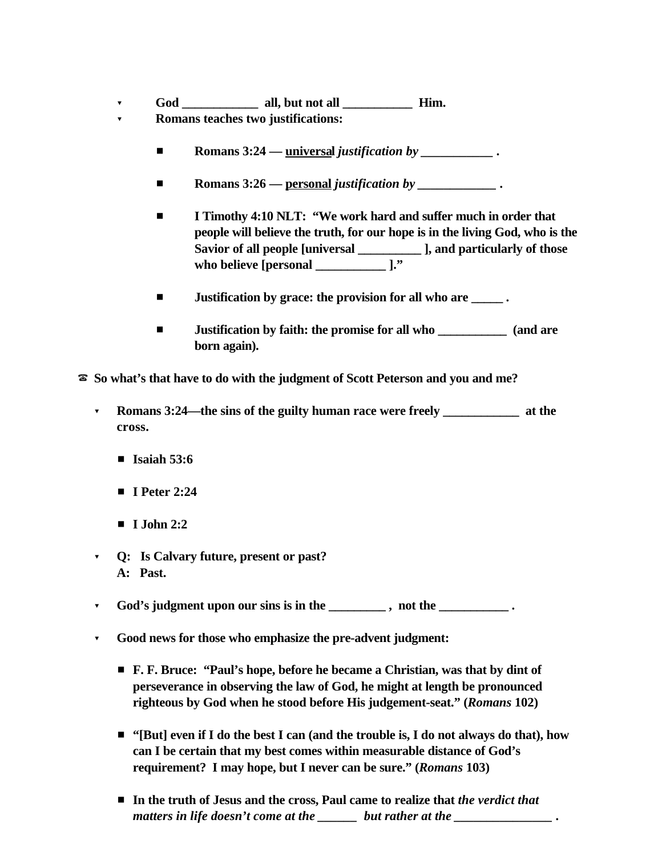- ? **God \_\_\_\_\_\_\_\_\_\_\_\_ all, but not all \_\_\_\_\_\_\_\_\_\_\_ Him.**
- ? **Romans teaches two justifications:**
	- **Romans 3:24 universal** *justification by* **\_\_\_\_\_\_\_\_\_\_\_\_.**
	- **Romans 3:26** <u>personal</u> *justification by* \_\_\_\_\_\_\_\_\_\_\_\_\_.
	- **I I** Timothy 4:10 NLT: "We work hard and suffer much in order that **people will believe the truth, for our hope is in the living God, who is the Savior of all people [universal \_\_\_\_\_\_\_\_\_\_ ], and particularly of those who believe [personal \_\_\_\_\_\_\_\_\_\_\_ ]."**
	- $\blacksquare$  **Justification by grace: the provision for all who are \_\_\_\_\_\_.**
	- $\blacksquare$  **Justification by faith: the promise for all who**  $\blacksquare$  **(and are born again).**
- ? **So what's that have to do with the judgment of Scott Peterson and you and me?**
	- ? **Romans 3:24—the sins of the guilty human race were freely \_\_\_\_\_\_\_\_\_\_\_\_ at the cross.**
		- **Isaiah 53:6**
		- **F I** Peter 2:24
		- $\blacksquare$  **I** John 2:2
	- ? **Q: Is Calvary future, present or past? A: Past.**
	- ? **God's judgment upon our sins is in the \_\_\_\_\_\_\_\_\_ , not the \_\_\_\_\_\_\_\_\_\_\_ .**
	- ? **Good news for those who emphasize the pre-advent judgment:**
		- # **F. F. Bruce: "Paul's hope, before he became a Christian, was that by dint of perseverance in observing the law of God, he might at length be pronounced righteous by God when he stood before His judgement-seat." (***Romans* **102)**
		- "[But] even if I do the best I can (and the trouble is, I do not always do that), how **can I be certain that my best comes within measurable distance of God's requirement? I may hope, but I never can be sure." (***Romans* **103)**
		- In the truth of Jesus and the cross, Paul came to realize that *the verdict that* matters in life doesn't come at the \_\_\_\_\_\_ but rather at the \_\_\_\_\_\_\_\_\_\_\_\_\_\_\_\_\_\_.